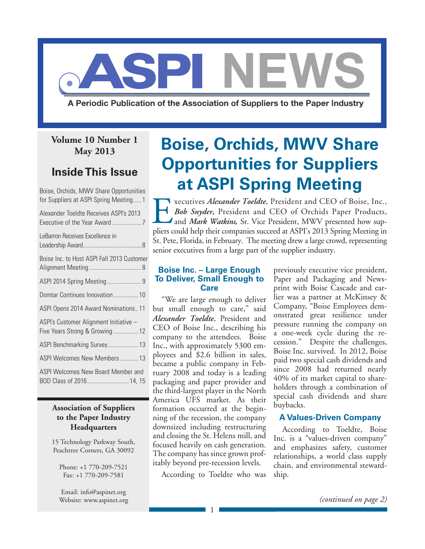

A Periodic Publication of the Association of Suppliers to the Paper Industry

### **Volume 10 Number 1 May 2013**

### **Inside This Issue**

Boise, Orchids, MWV Share Opportunities for Suppliers at ASPI Spring Meeting..... 1

| Alexander Toeldte Receives ASPI's 2013                                    |
|---------------------------------------------------------------------------|
| LeBarron Receives Excellence in                                           |
| Boise Inc. to Host ASPI Fall 2013 Customer                                |
|                                                                           |
| Domtar Continues Innovation 10                                            |
| ASPI Opens 2014 Award Nominations11                                       |
| ASPI's Customer Alignment Initiative -<br>Five Years Strong & Growing  12 |
| ASPI Benchmarking Survey 13                                               |
| ASPI Welcomes New Members 13                                              |
| ASPI Welcomes New Board Member and<br>BOD Class of 2016 14, 15            |

#### **Association of Suppliers to the Paper Industry Headquarters**

15 Technology Parkway South, Peachtree Corners, GA 30092

Phone: +1 770-209-7521 Fax: +1 770-209-7581

Email: info@aspinet.org Website: www.aspinet.org

# **Boise, Orchids, MWV Share Opportunities for Suppliers at ASPI Spring Meeting**

xecutives *Alexander Toeldte*, President and CEO of Boise, Inc.,<br>Bob Snyder, President and CEO of Orchids Paper Products,<br>and *Mark Watkins*, Sr. Vice President, MWV presented how sup-<br>pliers could belp their companies suc *Bob Snyder,* President and CEO of Orchids Paper Products, and *Mark Watkins,* Sr. Vice President, MWV presented how suppliers could help their companies succeed at ASPI's 2013 Spring Meeting in St. Pete, Florida, in February. The meeting drew a large crowd, representing senior executives from a large part of the supplier industry.

#### **Boise Inc. – Large Enough To Deliver, Small Enough to Care**

"We are large enough to deliver but small enough to care," said *Alexander Toeldte*, President and CEO of Boise Inc., describing his company to the attendees. Boise Inc., with approximately 5300 employees and \$2.6 billion in sales, became a public company in February 2008 and today is a leading packaging and paper provider and the third-largest player in the North America UFS market. As their formation occurred at the beginning of the recession, the company downsized including restructuring and closing the St. Helens mill, and focused heavily on cash generation. The company has since grown profitably beyond pre-recession levels.

According to Toeldte who was

1

previously executive vice president, Paper and Packaging and Newsprint with Boise Cascade and earlier was a partner at McKinsey & Company, "Boise Employees demonstrated great resilience under pressure running the company on a one-week cycle during the recession." Despite the challenges, Boise Inc. survived. In 2012, Boise paid two special cash dividends and since 2008 had returned nearly 40% of its market capital to shareholders through a combination of special cash dividends and share buybacks.

#### **A Values-Driven Company**

According to Toeldte, Boise Inc. is a "values-driven company" and emphasizes safety, customer relationships, a world class supply chain, and environmental stewardship.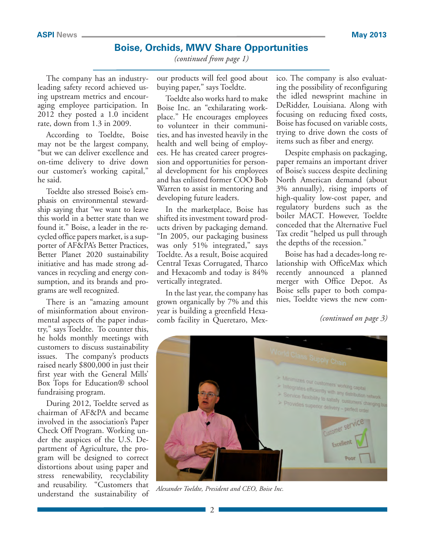*(continued from page 1)*

The company has an industryleading safety record achieved using upstream metrics and encouraging employee participation. In 2012 they posted a 1.0 incident rate, down from 1.3 in 2009.

According to Toeldte, Boise may not be the largest company, "but we can deliver excellence and on-time delivery to drive down our customer's working capital," he said.

Toeldte also stressed Boise's emphasis on environmental stewardship saying that "we want to leave this world in a better state than we found it." Boise, a leader in the recycled office papers market, is a supporter of AF&PA's Better Practices, Better Planet 2020 sustainability initiative and has made strong advances in recycling and energy consumption, and its brands and programs are well recognized.

There is an "amazing amount of misinformation about environmental aspects of the paper industry," says Toeldte. To counter this, he holds monthly meetings with customers to discuss sustainability issues. The company's products raised nearly \$800,000 in just their first year with the General Mills' Box Tops for Education® school fundraising program.

During 2012, Toeldte served as chairman of AF&PA and became involved in the association's Paper Check Off Program. Working under the auspices of the U.S. Department of Agriculture, the program will be designed to correct distortions about using paper and stress renewability, recyclability and reusability. "Customers that understand the sustainability of

our products will feel good about buying paper," says Toeldte.

Toeldte also works hard to make Boise Inc. an "exhilarating workplace." He encourages employees to volunteer in their communities, and has invested heavily in the health and well being of employees. He has created career progression and opportunities for personal development for his employees and has enlisted former COO Bob Warren to assist in mentoring and developing future leaders.

In the marketplace, Boise has shifted its investment toward products driven by packaging demand. "In 2005, our packaging business was only 51% integrated," says Toeldte. As a result, Boise acquired Central Texas Corrugated, Tharco and Hexacomb and today is 84% vertically integrated.

In the last year, the company has grown organically by 7% and this year is building a greenfield Hexacomb facility in Queretaro, Mexico. The company is also evaluating the possibility of reconfiguring the idled newsprint machine in DeRidder, Louisiana. Along with focusing on reducing fixed costs, Boise has focused on variable costs, trying to drive down the costs of items such as fiber and energy.

Despite emphasis on packaging, paper remains an important driver of Boise's success despite declining North American demand (about 3% annually), rising imports of high-quality low-cost paper, and regulatory burdens such as the boiler MACT. However, Toeldte conceded that the Alternative Fuel Tax credit "helped us pull through the depths of the recession."

Boise has had a decades-long relationship with OfficeMax which recently announced a planned merger with Office Depot. As Boise sells paper to both companies, Toeldte views the new com-

*(continued on page 3)*



*Alexander Toeldte, President and CEO, Boise Inc.*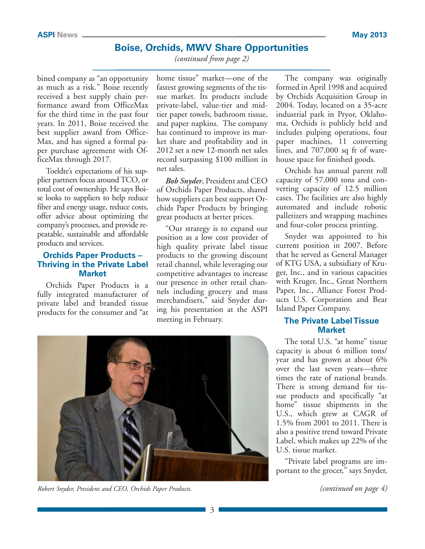*(continued from page 2)*

bined company as "an opportunity as much as a risk." Boise recently received a best supply chain performance award from OfficeMax for the third time in the past four years. In 2011, Boise received the best supplier award from Office-Max, and has signed a formal paper purchase agreement with OfficeMax through 2017.

Toeldte's expectations of his supplier partners focus around TCO, or total cost of ownership. He says Boise looks to suppliers to help reduce fiber and energy usage, reduce costs, offer advice about optimizing the company's processes, and provide repeatable, sustainable and affordable products and services.

#### **Orchids Paper Products – Thriving in the Private Label Market**

Orchids Paper Products is a fully integrated manufacturer of private label and branded tissue products for the consumer and "at

home tissue" market—one of the fastest growing segments of the tissue market. Its products include private-label, value-tier and midtier paper towels, bathroom tissue, and paper napkins. The company has continued to improve its market share and profitability and in 2012 set a new 12-month net sales record surpassing \$100 million in net sales.

*Bob Snyder*, President and CEO of Orchids Paper Products, shared how suppliers can best support Orchids Paper Products by bringing great products at better prices.

"Our strategy is to expand our position as a low cost provider of high quality private label tissue products to the growing discount retail channel, while leveraging our competitive advantages to increase our presence in other retail channels including grocery and mass merchandisers," said Snyder during his presentation at the ASPI meeting in February.

The company was originally formed in April 1998 and acquired by Orchids Acquisition Group in 2004. Today, located on a 35-acre industrial park in Pryor, Oklahoma, Orchids is publicly held and includes pulping operations, four paper machines, 11 converting lines, and 707,000 sq ft of warehouse space for finished goods.

Orchids has annual parent roll capacity of 57,000 tons and converting capacity of 12.5 million cases. The facilities are also highly automated and include robotic palletizers and wrapping machines and four-color process printing.

Snyder was appointed to his current position in 2007. Before that he served as General Manager of KTG USA, a subsidiary of Kruger, Inc., and in various capacities with Kruger, Inc., Great Northern Paper, Inc., Alliance Forest Products U.S. Corporation and Bear Island Paper Company.

#### **The Private Label Tissue Market**

The total U.S. "at home" tissue capacity is about 6 million tons/ year and has grown at about 6% over the last seven years—three times the rate of national brands. There is strong demand for tissue products and specifically "at home" tissue shipments in the U.S., which grew at CAGR of 1.5% from 2001 to 2011. There is also a positive trend toward Private Label, which makes up 22% of the U.S. tissue market.

"Private label programs are important to the grocer," says Snyder,



*Robert Snyder, President and CEO, Orchids Paper Products. (continued on page 4)*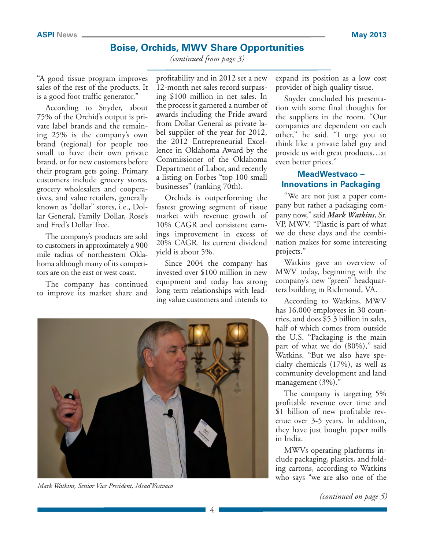*(continued from page 3)*

"A good tissue program improves sales of the rest of the products. It is a good foot traffic generator."

According to Snyder, about 75% of the Orchid's output is private label brands and the remaining 25% is the company's own brand (regional) for people too small to have their own private brand, or for new customers before their program gets going. Primary customers include grocery stores, grocery wholesalers and cooperatives, and value retailers, generally known as "dollar" stores, i.e., Dollar General, Family Dollar, Rose's and Fred's Dollar Tree.

The company's products are sold to customers in approximately a 900 mile radius of northeastern Oklahoma although many of its competitors are on the east or west coast.

The company has continued to improve its market share and

profitability and in 2012 set a new 12-month net sales record surpassing \$100 million in net sales. In the process it garnered a number of awards including the Pride award from Dollar General as private label supplier of the year for 2012, the 2012 Entrepreneurial Excellence in Oklahoma Award by the Commissioner of the Oklahoma Department of Labor, and recently a listing on Forbes "top 100 small businesses" (ranking 70th).

Orchids is outperforming the fastest growing segment of tissue market with revenue growth of 10% CAGR and consistent earnings improvement in excess of 20% CAGR. Its current dividend yield is about 5%.

Since 2004 the company has invested over \$100 million in new equipment and today has strong long term relationships with leading value customers and intends to



*Mark Watkins, Senior Vice President, MeadWestvaco*

expand its position as a low cost provider of high quality tissue.

Snyder concluded his presentation with some final thoughts for the suppliers in the room. "Our companies are dependent on each other," he said. "I urge you to think like a private label guy and provide us with great products…at even better prices."

#### **MeadWestvaco – Innovations in Packaging**

"We are not just a paper company but rather a packaging company now," said *Mark Watkins*, Sr. VP, MWV. "Plastic is part of what we do these days and the combination makes for some interesting projects."

Watkins gave an overview of MWV today, beginning with the company's new "green" headquarters building in Richmond, VA.

According to Watkins, MWV has 16,000 employees in 30 countries, and does \$5.3 billion in sales, half of which comes from outside the U.S. "Packaging is the main part of what we do (80%)," said Watkins. "But we also have specialty chemicals (17%), as well as community development and land management (3%)."

The company is targeting 5% profitable revenue over time and \$1 billion of new profitable revenue over 3-5 years. In addition, they have just bought paper mills in India.

MWVs operating platforms include packaging, plastics, and folding cartons, according to Watkins who says "we are also one of the

*(continued on page 5)*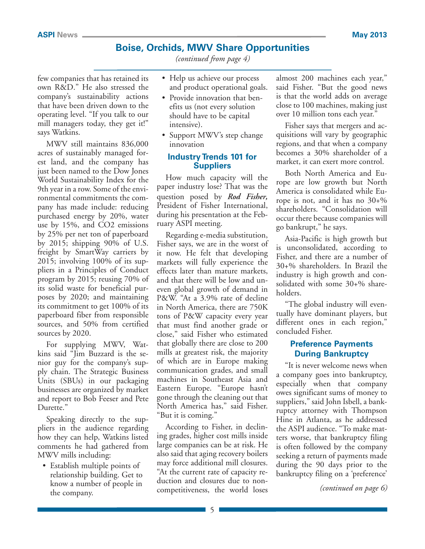*(continued from page 4)*

few companies that has retained its own R&D." He also stressed the company's sustainability actions that have been driven down to the operating level. "If you talk to our mill managers today, they get it!" says Watkins.

MWV still maintains 836,000 acres of sustainably managed forest land, and the company has just been named to the Dow Jones World Sustainability Index for the 9th year in a row. Some of the environmental commitments the company has made include: reducing purchased energy by 20%, water use by 15%, and CO2 emissions by 25% per net ton of paperboard by 2015; shipping 90% of U.S. freight by SmartWay carriers by 2015; involving 100% of its suppliers in a Principles of Conduct program by 2015; reusing 70% of its solid waste for beneficial purposes by 2020; and maintaining its commitment to get 100% of its paperboard fiber from responsible sources, and 50% from certified sources by 2020.

For supplying MWV, Watkins said "Jim Buzzard is the senior guy for the company's supply chain. The Strategic Business Units (SBUs) in our packaging businesses are organized by market and report to Bob Feeser and Pete Durette."

Speaking directly to the suppliers in the audience regarding how they can help, Watkins listed comments he had gathered from MWV mills including:

• Establish multiple points of relationship building. Get to know a number of people in the company.

- Help us achieve our process and product operational goals.
- Provide innovation that benefits us (not every solution should have to be capital intensive).
- Support MWV's step change innovation

#### **Industry Trends 101 for Suppliers**

How much capacity will the paper industry lose? That was the question posed by *Rod Fisher,*  President of Fisher International, during his presentation at the February ASPI meeting.

Regarding e-media substitution, Fisher says, we are in the worst of it now. He felt that developing markets will fully experience the effects later than mature markets, and that there will be low and uneven global growth of demand in P&W. "At a 3.9% rate of decline in North America, there are 750K tons of P&W capacity every year that must find another grade or close," said Fisher who estimated that globally there are close to 200 mills at greatest risk, the majority of which are in Europe making communication grades, and small machines in Southeast Asia and Eastern Europe. "Europe hasn't gone through the cleaning out that North America has," said Fisher. "But it is coming."

According to Fisher, in declining grades, higher cost mills inside large companies can be at risk. He also said that aging recovery boilers may force additional mill closures. "At the current rate of capacity reduction and closures due to noncompetitiveness, the world loses almost 200 machines each year," said Fisher. "But the good news is that the world adds on average close to 100 machines, making just over 10 million tons each year."

Fisher says that mergers and acquisitions will vary by geographic regions, and that when a company becomes a 30% shareholder of a market, it can exert more control.

Both North America and Europe are low growth but North America is consolidated while Europe is not, and it has no 30+% shareholders. "Consolidation will occur there because companies will go bankrupt," he says.

Asia-Pacific is high growth but is unconsolidated, according to Fisher, and there are a number of 30+% shareholders. In Brazil the industry is high growth and consolidated with some 30+% shareholders.

"The global industry will eventually have dominant players, but different ones in each region," concluded Fisher.

#### **Preference Payments During Bankruptcy**

"It is never welcome news when a company goes into bankruptcy, especially when that company owes significant sums of money to suppliers," said John Isbell, a bankruptcy attorney with Thompson Hine in Atlanta, as he addressed the ASPI audience. "To make matters worse, that bankruptcy filing is often followed by the company seeking a return of payments made during the 90 days prior to the bankruptcy filing on a 'preference'

*(continued on page 6)*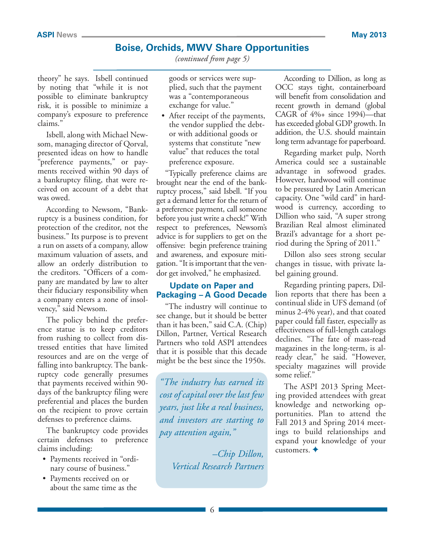*(continued from page 5)*

theory" he says. Isbell continued by noting that "while it is not possible to eliminate bankruptcy risk, it is possible to minimize a company's exposure to preference claims."

Isbell, along with Michael Newsom, managing director of Qorval, presented ideas on how to handle "preference payments," or payments received within 90 days of a bankruptcy filing, that were received on account of a debt that was owed.

According to Newsom, "Bankruptcy is a business condition, for protection of the creditor, not the business." Its purpose is to prevent a run on assets of a company, allow maximum valuation of assets, and allow an orderly distribution to the creditors. "Officers of a company are mandated by law to alter their fiduciary responsibility when a company enters a zone of insolvency," said Newsom.

The policy behind the preference statue is to keep creditors from rushing to collect from distressed entities that have limited resources and are on the verge of falling into bankruptcy. The bankruptcy code generally presumes that payments received within 90 days of the bankruptcy filing were preferential and places the burden on the recipient to prove certain defenses to preference claims.

The bankruptcy code provides certain defenses to preference claims including:

- Payments received in "ordinary course of business."
- Payments received on or about the same time as the

goods or services were supplied, such that the payment was a "contemporaneous exchange for value."

• After receipt of the payments, the vendor supplied the debtor with additional goods or systems that constitute "new value" that reduces the total preference exposure.

"Typically preference claims are brought near the end of the bankruptcy process," said Isbell. "If you get a demand letter for the return of a preference payment, call someone before you just write a check!" With respect to preferences, Newsom's advice is for suppliers to get on the offensive: begin preference training and awareness, and exposure mitigation. "It is important that the vendor get involved," he emphasized.

#### **Update on Paper and Packaging – A Good Decade**

"The industry will continue to see change, but it should be better than it has been," said C.A. (Chip) Dillon, Partner, Vertical Research Partners who told ASPI attendees that it is possible that this decade might be the best since the 1950s.

*"The industry has earned its cost of capital over the last few years, just like a real business, and investors are starting to pay attention again,"*

> *–Chip Dillon, Vertical Research Partners*

According to Dillion, as long as OCC stays tight, containerboard will benefit from consolidation and recent growth in demand (global CAGR of 4%+ since 1994)—that has exceeded global GDP growth. In addition, the U.S. should maintain long term advantage for paperboard.

Regarding market pulp, North America could see a sustainable advantage in softwood grades. However, hardwood will continue to be pressured by Latin American capacity. One "wild card" in hardwood is currency, according to Dillion who said, "A super strong Brazilian Real almost eliminated Brazil's advantage for a short period during the Spring of 2011."

Dillon also sees strong secular changes in tissue, with private label gaining ground.

Regarding printing papers, Dillion reports that there has been a continual slide in UFS demand (of minus 2-4% year), and that coated paper could fall faster, especially as effectiveness of full-length catalogs declines. "The fate of mass-read magazines in the long-term, is already clear," he said. "However, specialty magazines will provide some relief."

The ASPI 2013 Spring Meeting provided attendees with great knowledge and networking opportunities. Plan to attend the Fall 2013 and Spring 2014 meetings to build relationships and expand your knowledge of your customers.  $\triangleleft$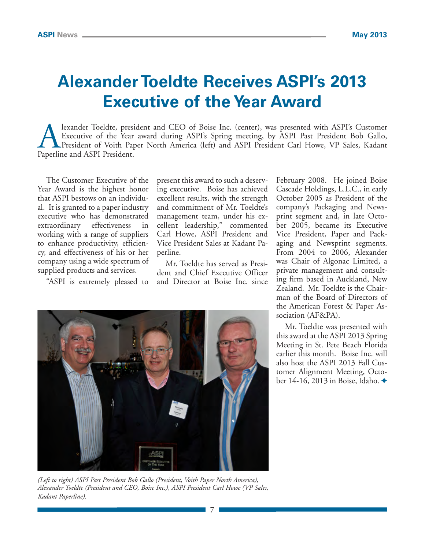# **Alexander Toeldte Receives ASPI's 2013 Executive of the Year Award**

Iexander Toeldte, president and CEO of Boise Inc. (center), was presented with ASPI's Customer<br>Executive of the Year award during ASPI's Spring meeting, by ASPI Past President Bob Gallo,<br>President of Voith Paper North Amer Executive of the Year award during ASPI's Spring meeting, by ASPI Past President Bob Gallo, President of Voith Paper North America (left) and ASPI President Carl Howe, VP Sales, Kadant Paperline and ASPI President.

The Customer Executive of the Year Award is the highest honor that ASPI bestows on an individual. It is granted to a paper industry executive who has demonstrated extraordinary effectiveness in working with a range of suppliers to enhance productivity, efficiency, and effectiveness of his or her company using a wide spectrum of supplied products and services.

"ASPI is extremely pleased to

present this award to such a deserving executive. Boise has achieved excellent results, with the strength and commitment of Mr. Toeldte's management team, under his excellent leadership," commented Carl Howe, ASPI President and Vice President Sales at Kadant Paperline.

Mr. Toeldte has served as President and Chief Executive Officer and Director at Boise Inc. since

7



*(Left to right) ASPI Past President Bob Gallo (President, Voith Paper North America), Alexander Toeldte (President and CEO, Boise Inc.), ASPI President Carl Howe (VP Sales, Kadant Paperline).* 

February 2008. He joined Boise Cascade Holdings, L.L.C., in early October 2005 as President of the company's Packaging and Newsprint segment and, in late October 2005, became its Executive Vice President, Paper and Packaging and Newsprint segments. From 2004 to 2006, Alexander was Chair of Algonac Limited, a private management and consulting firm based in Auckland, New Zealand. Mr. Toeldte is the Chairman of the Board of Directors of the American Forest & Paper Association (AF&PA).

Mr. Toeldte was presented with this award at the ASPI 2013 Spring Meeting in St. Pete Beach Florida earlier this month. Boise Inc. will also host the ASPI 2013 Fall Customer Alignment Meeting, October 14-16, 2013 in Boise, Idaho. ◆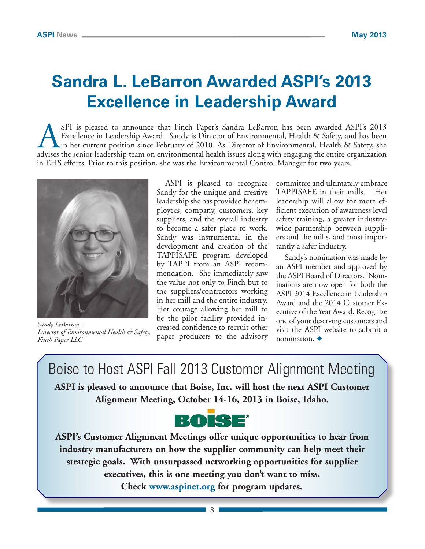# **Sandra L. LeBarron Awarded ASPI's 2013 Excellence in Leadership Award**

SPI is pleased to announce that Finch Paper's Sandra LeBarron has been awarded ASPI's 2013<br>Excellence in Leadership Award. Sandy is Director of Environmental, Health & Safety, and has been<br>in her current position since Feb Excellence in Leadership Award. Sandy is Director of Environmental, Health & Safety, and has been in her current position since February of 2010. As Director of Environmental, Health & Safety, she advises the senior leadership team on environmental health issues along with engaging the entire organization in EHS efforts. Prior to this position, she was the Environmental Control Manager for two years.



*Sandy LeBarron – Director of Environmental Health & Safety, Finch Paper LLC*

ASPI is pleased to recognize Sandy for the unique and creative leadership she has provided her employees, company, customers, key suppliers, and the overall industry to become a safer place to work. Sandy was instrumental in the development and creation of the TAPPISAFE program developed by TAPPI from an ASPI recommendation. She immediately saw the value not only to Finch but to the suppliers/contractors working in her mill and the entire industry. Her courage allowing her mill to be the pilot facility provided increased confidence to recruit other paper producers to the advisory committee and ultimately embrace TAPPISAFE in their mills. Her leadership will allow for more efficient execution of awareness level safety training, a greater industrywide partnership between suppliers and the mills, and most importantly a safer industry.

Sandy's nomination was made by an ASPI member and approved by the ASPI Board of Directors. Nominations are now open for both the ASPI 2014 Excellence in Leadership Award and the 2014 Customer Executive of the Year Award. Recognize one of your deserving customers and visit the ASPI website to submit a nomination.  $\triangle$ 

Boise to Host ASPI Fall 2013 Customer Alignment Meeting **ASPI is pleased to announce that Boise, Inc. will host the next ASPI Customer Alignment Meeting, October 14-16, 2013 in Boise, Idaho.**



**ASPI's Customer Alignment Meetings offer unique opportunities to hear from industry manufacturers on how the supplier community can help meet their strategic goals. With unsurpassed networking opportunities for supplier executives, this is one meeting you don't want to miss. Check www.aspinet.org for program updates.**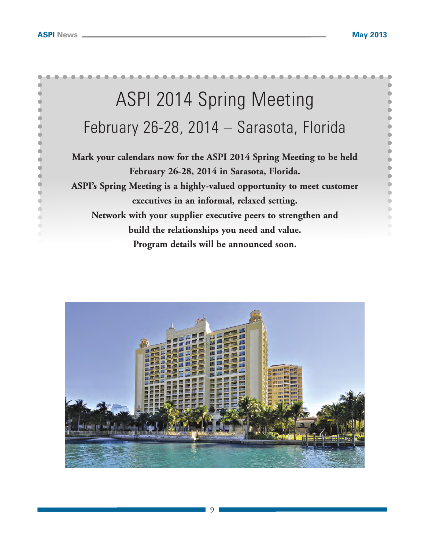

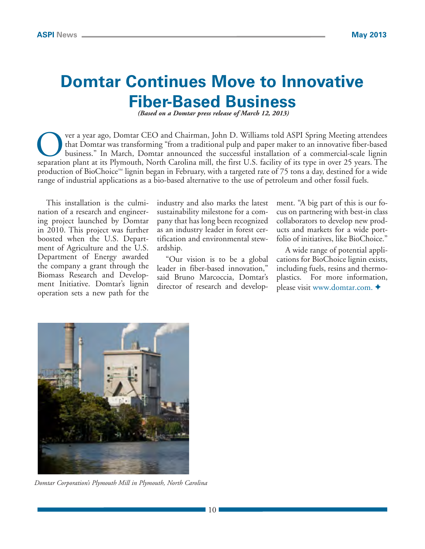## **Domtar Continues Move to Innovative Fiber-Based Business**

 *(Based on a Domtar press release of March 12, 2013)*

ver a year ago, Domtar CEO and Chairman, John D. Williams told ASPI Spring Meeting attendees that Domtar was transforming "from a traditional pulp and paper maker to an innovative fiber-based business." In March, Domtar announced the successful installation of a commercial-scale lignin separation plant at its Plymouth, North Carolina mill, the first U.S. facility of its type in over 25 years. The production of BioChoice™ lignin began in February, with a targeted rate of 75 tons a day, destined for a wide range of industrial applications as a bio-based alternative to the use of petroleum and other fossil fuels.

This installation is the culmination of a research and engineering project launched by Domtar in 2010. This project was further boosted when the U.S. Department of Agriculture and the U.S. Department of Energy awarded the company a grant through the Biomass Research and Development Initiative. Domtar's lignin operation sets a new path for the industry and also marks the latest sustainability milestone for a company that has long been recognized as an industry leader in forest certification and environmental stewardship.

"Our vision is to be a global leader in fiber-based innovation," said Bruno Marcoccia, Domtar's director of research and development. "A big part of this is our focus on partnering with best-in class collaborators to develop new products and markets for a wide portfolio of initiatives, like BioChoice."

A wide range of potential applications for BioChoice lignin exists, including fuels, resins and thermoplastics. For more information, please visit www.domtar.com.  $\triangleleft$ 



*Domtar Corporation's Plymouth Mill in Plymouth, North Carolina*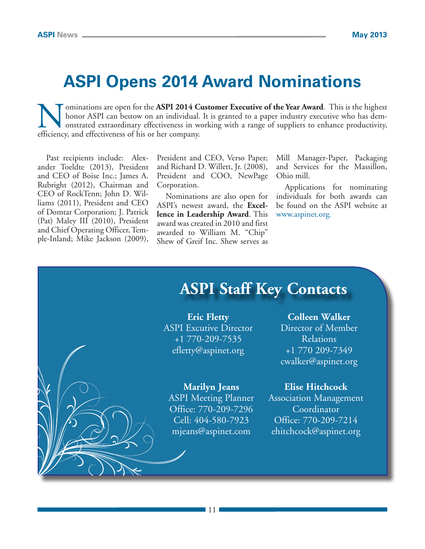## **ASPI Opens 2014 Award Nominations**

**Nominations are open for the ASPI 2014 Customer Executive of the Year Award**. This is the highest honor ASPI can bestow on an individual. It is granted to a paper industry executive who has demonstrated extraordinary effe honor ASPI can bestow on an individual. It is granted to a paper industry executive who has demonstrated extraordinary effectiveness in working with a range of suppliers to enhance productivity, efficiency, and effectiveness of his or her company.

Past recipients include: Alexander Toeldte (2013), President and CEO of Boise Inc.; James A. Rubright (2012), Chairman and CEO of RockTenn; John D. Williams (2011), President and CEO of Domtar Corporation; J. Patrick (Pat) Maley III (2010), President and Chief Operating Officer, Temple-Inland; Mike Jackson (2009), President and CEO, Verso Paper; and Richard D. Willett, Jr. (2008), President and COO, NewPage Corporation.

Nominations are also open for ASPI's newest award, the **Excellence in Leadership Award**. This award was created in 2010 and first awarded to William M. "Chip" Shew of Greif Inc. Shew serves as

Mill Manager-Paper, Packaging and Services for the Massillon, Ohio mill.

Applications for nominating individuals for both awards can be found on the ASPI website at www.aspinet.org.

## **ASPI Staff Key Contacts**

**Eric Fletty** ASPI Excutive Director +1 770-209-7535 efletty@aspinet.org

**Marilyn Jeans**

ASPI Meeting Planner Office: 770-209-7296 Cell: 404-580-7923 mjeans@aspinet.com

**Colleen Walker**

Director of Member Relations +1 770 209-7349 cwalker@aspinet.org

#### **Elise Hitchcock**

Association Management Coordinator Office: 770-209-7214 ehitchcock@aspinet.org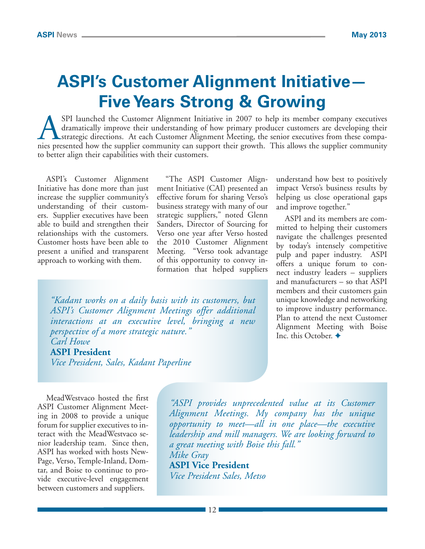# **ASPI's Customer Alignment Initiative— Five Years Strong & Growing**

SPI launched the Customer Alignment Initiative in 2007 to help its member company executives<br>dramatically improve their understanding of how primary producer customers are developing their<br>strategic directions. At each Cus dramatically improve their understanding of how primary producer customers are developing their strategic directions. At each Customer Alignment Meeting, the senior executives from these companies presented how the supplier community can support their growth. This allows the supplier community to better align their capabilities with their customers.

ASPI's Customer Alignment Initiative has done more than just increase the supplier community's understanding of their customers. Supplier executives have been able to build and strengthen their relationships with the customers. Customer hosts have been able to present a unified and transparent approach to working with them.

"The ASPI Customer Alignment Initiative (CAI) presented an effective forum for sharing Verso's business strategy with many of our strategic suppliers," noted Glenn Sanders, Director of Sourcing for Verso one year after Verso hosted the 2010 Customer Alignment Meeting. "Verso took advantage of this opportunity to convey information that helped suppliers

*"Kadant works on a daily basis with its customers, but ASPI's Customer Alignment Meetings offer additional interactions at an executive level, bringing a new perspective of a more strategic nature." Carl Howe*

#### **ASPI President**

*Vice President, Sales, Kadant Paperline*

understand how best to positively impact Verso's business results by helping us close operational gaps and improve together."

ASPI and its members are committed to helping their customers navigate the challenges presented by today's intensely competitive pulp and paper industry. ASPI offers a unique forum to connect industry leaders – suppliers and manufacturers – so that ASPI members and their customers gain unique knowledge and networking to improve industry performance. Plan to attend the next Customer Alignment Meeting with Boise Inc. this October.  $\triangleleft$ 

MeadWestvaco hosted the first ASPI Customer Alignment Meeting in 2008 to provide a unique forum for supplier executives to interact with the MeadWestvaco senior leadership team. Since then, ASPI has worked with hosts New-Page, Verso, Temple-Inland, Domtar, and Boise to continue to provide executive-level engagement between customers and suppliers.

*"ASPI provides unprecedented value at its Customer Alignment Meetings. My company has the unique opportunity to meet—all in one place—the executive leadership and mill managers. We are looking forward to a great meeting with Boise this fall." Mike Gray*

**ASPI Vice President** *Vice President Sales, Metso*

12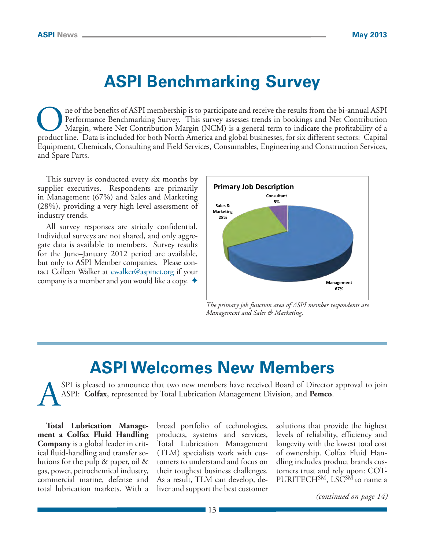## **ASPI Benchmarking Survey**

ne of the benefits of ASPI membership is to participate and receive the results from the bi-annual ASPI Performance Benchmarking Survey. This survey assesses trends in bookings and Net Contribution Margin, where Net Contribution Margin (NCM) is a general term to indicate the profitability of a product line. Data is included for both North America and global businesses, for six different sectors: Capital Equipment, Chemicals, Consulting and Field Services, Consumables, Engineering and Construction Services, and Spare Parts.

This survey is conducted every six months by supplier executives. Respondents are primarily in Management (67%) and Sales and Marketing (28%), providing a very high level assessment of industry trends.

All survey responses are strictly confidential. Individual surveys are not shared, and only aggregate data is available to members. Survey results for the June–January 2012 period are available, but only to ASPI Member companies. Please contact Colleen Walker at cwalker@aspinet.org if your company is a member and you would like a copy.  $\blacklozenge$ 



*The primary job function area of ASPI member respondents are Management and Sales & Marketing.* 

## **ASPI Welcomes New Members**

SPI is pleased to announce that two new members have received Board of Director approval to join ASPI: **Colfax**, represented by Total Lubrication Management Division, and **Pemco**.

**Total Lubrication Management a Colfax Fluid Handling Company** is a global leader in critical fluid-handling and transfer solutions for the pulp & paper, oil & gas, power, petrochemical industry, commercial marine, defense and total lubrication markets. With a broad portfolio of technologies, products, systems and services, Total Lubrication Management (TLM) specialists work with customers to understand and focus on their toughest business challenges. As a result, TLM can develop, deliver and support the best customer solutions that provide the highest levels of reliability, efficiency and longevity with the lowest total cost of ownership. Colfax Fluid Handling includes product brands customers trust and rely upon: COT-PURITECH<sup>SM</sup>, LSC<sup>SM</sup> to name a

*(continued on page 14)*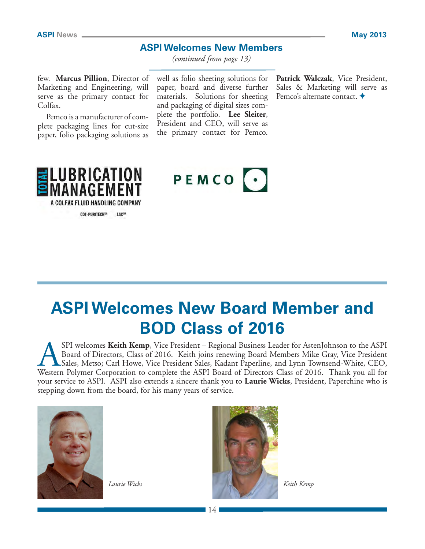### **ASPI Welcomes New Members**

*(continued from page 13)*

few. **Marcus Pillion**, Director of Marketing and Engineering, will serve as the primary contact for Colfax.

Pemco is a manufacturer of complete packaging lines for cut-size paper, folio packaging solutions as

well as folio sheeting solutions for paper, board and diverse further materials. Solutions for sheeting and packaging of digital sizes complete the portfolio. **Lee Sleiter**, President and CEO, will serve as the primary contact for Pemco.

**Patrick Walczak**, Vice President, Sales & Marketing will serve as Pemco's alternate contact. ◆



 $PEMCO$   $\cdot$ 

# **ASPI Welcomes New Board Member and BOD Class of 2016**

SPI welcomes Keith Kemp, Vice President – Regional Business Leader for AstenJohnson to the ASPI<br>Board of Directors, Class of 2016. Keith joins renewing Board Members Mike Gray, Vice President<br>Sales, Metso; Carl Howe, Vice Board of Directors, Class of 2016. Keith joins renewing Board Members Mike Gray, Vice President Sales, Metso; Carl Howe, Vice President Sales, Kadant Paperline, and Lynn Townsend-White, CEO, Western Polymer Corporation to complete the ASPI Board of Directors Class of 2016. Thank you all for your service to ASPI. ASPI also extends a sincere thank you to **Laurie Wicks**, President, Paperchine who is stepping down from the board, for his many years of service.